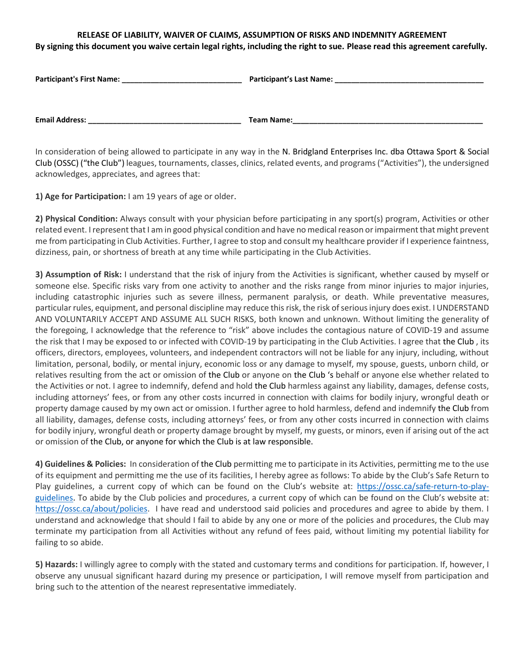## **RELEASE OF LIABILITY, WAIVER OF CLAIMS, ASSUMPTION OF RISKS AND INDEMNITY AGREEMENT**

**By signing this document you waive certain legal rights, including the right to sue. Please read this agreement carefully.**

| Participant's First Name: | Participant's Last Name: |
|---------------------------|--------------------------|
| <b>Email Address:</b>     | Team Name:               |

In consideration of being allowed to participate in any way in the N. Bridgland Enterprises Inc. dba Ottawa Sport & Social Club (OSSC) ("the Club") leagues, tournaments, classes, clinics, related events, and programs ("Activities"), the undersigned acknowledges, appreciates, and agrees that:

**1) Age for Participation:** I am 19 years of age or older.

**2) Physical Condition:** Always consult with your physician before participating in any sport(s) program, Activities or other related event. I represent that I am in good physical condition and have no medical reason or impairment that might prevent me from participating in Club Activities. Further, I agree to stop and consult my healthcare provider if I experience faintness, dizziness, pain, or shortness of breath at any time while participating in the Club Activities.

**3) Assumption of Risk:** I understand that the risk of injury from the Activities is significant, whether caused by myself or someone else. Specific risks vary from one activity to another and the risks range from minor injuries to major injuries, including catastrophic injuries such as severe illness, permanent paralysis, or death. While preventative measures, particular rules, equipment, and personal discipline may reduce this risk, the risk of serious injury does exist. I UNDERSTAND AND VOLUNTARILY ACCEPT AND ASSUME ALL SUCH RISKS, both known and unknown. Without limiting the generality of the foregoing, I acknowledge that the reference to "risk" above includes the contagious nature of COVID-19 and assume the risk that I may be exposed to or infected with COVID-19 by participating in the Club Activities. I agree that the Club , its officers, directors, employees, volunteers, and independent contractors will not be liable for any injury, including, without limitation, personal, bodily, or mental injury, economic loss or any damage to myself, my spouse, guests, unborn child, or relatives resulting from the act or omission of the Club or anyone on the Club 's behalf or anyone else whether related to the Activities or not. I agree to indemnify, defend and hold the Club harmless against any liability, damages, defense costs, including attorneys' fees, or from any other costs incurred in connection with claims for bodily injury, wrongful death or property damage caused by my own act or omission. I further agree to hold harmless, defend and indemnify the Club from all liability, damages, defense costs, including attorneys' fees, or from any other costs incurred in connection with claims for bodily injury, wrongful death or property damage brought by myself, my guests, or minors, even if arising out of the act or omission of the Club, or anyone for which the Club is at law responsible.

**4) Guidelines & Policies:** In consideration of the Club permitting me to participate in its Activities, permitting me to the use of its equipment and permitting me the use of its facilities, I hereby agree as follows: To abide by the Club's Safe Return to Play guidelines, a current copy of which can be found on the Club's website at: [https://ossc.ca/safe-return-to-play](https://ossc.ca/safe-return-to-play-guidelines)[guidelines.](https://ossc.ca/safe-return-to-play-guidelines) To abide by the Club policies and procedures, a current copy of which can be found on the Club's website at: [https://ossc.ca/about/policies.](https://ossc.ca/about/policies) I have read and understood said policies and procedures and agree to abide by them. I understand and acknowledge that should I fail to abide by any one or more of the policies and procedures, the Club may terminate my participation from all Activities without any refund of fees paid, without limiting my potential liability for failing to so abide.

**5) Hazards:** I willingly agree to comply with the stated and customary terms and conditions for participation. If, however, I observe any unusual significant hazard during my presence or participation, I will remove myself from participation and bring such to the attention of the nearest representative immediately.